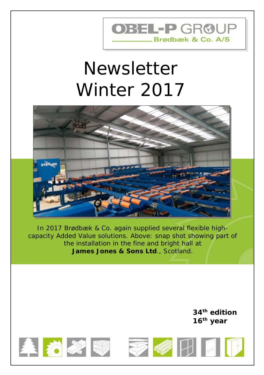# OBEL-PGR®UP Brødbæk & Co. A/S

# Newsletter Winter 2017



*In 2017 Brødbæk & Co. again supplied several flexible high capacity Added Value solutions. Above: snap shot showing part of the installation in the fine and bright hall at James Jones & Sons Ltd., Scotland.*

> **34 th edition 16 th year**





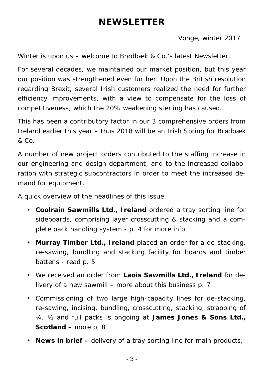#### *NEWSLETTER*

Vonge, winter 2017

Winter is upon us – welcome to Brødbæk & Co.'s latest Newsletter.

For several decades, we maintained our market position, but this year our position was strengthened even further. Upon the British resolution regarding Brexit, several Irish customers realized the need for further efficiency improvements, with a view to compensate for the loss of competitiveness, which the 20% weakening sterling has caused.

This has been a contributory factor in our 3 comprehensive orders from Ireland earlier this year – thus 2018 will be an Irish Spring for Brødbæk & Co.

A number of new project orders contributed to the staffing increase in our engineering and design department, and to the increased collaboration with strategic subcontractors in order to meet the increased demand for equipment.

A quick overview of the headlines of this issue:

- *Coolrain Sawmills Ltd., Ireland ordered a tray sorting line for sideboards, comprising layer crosscutting & stacking and a complete pack handling system - p. 4 for more info*
- *Murray Timber Ltd., Ireland placed an order for a de-stacking, re-sawing, bundling and stacking facility for boards and timber battens - read p. 5*
- *We received an order from Laois Sawmills Ltd., Ireland for delivery of a new sawmill – more about this business p. 7*
- *Commissioning of two large high-capacity lines for de-stacking, re-sawing, incising, bundling, crosscutting, stacking, strapping of ¼, ½ and full packs is ongoing at James Jones & Sons Ltd., Scotland – more p. 8*
- *News in brief – delivery of a tray sorting line for main products,*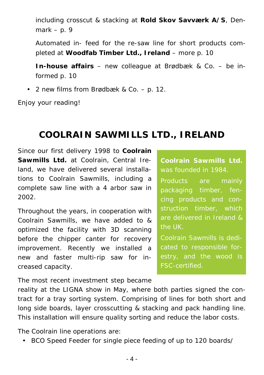*including crosscut & stacking at Rold Skov Savværk A/S, Denmark – p. 9*

*Automated in- feed for the re-saw line for short products completed at Woodfab Timber Ltd., Ireland – more p. 10*

*In-house affairs – new colleague at Brødbæk & Co. – be informed p. 10*

*2 new films from Brødbæk & Co. – p. 12.*

Enjoy your reading!

#### *COOLRAIN SAWMILLS LTD., IRELAND*

Since our first delivery 1998 to *Coolrain Sawmills Ltd.* at Coolrain, Central Ireland, we have delivered several installations to *Coolrain Sawmills*, including a complete saw line with a 4 arbor saw in 2002.

Throughout the years, in cooperation with *Coolrain Sawmills*, we have added to & optimized the facility with 3D scanning before the chipper canter for recovery improvement. Recently we installed a new and faster multi-rip saw for increased capacity.

*Coolrain Sawmills Ltd.* was founded in 1984.

Products are mainly packaging timber, fen cing products and construction timber, which are delivered in Ireland & the UK.

*Coolrain Sawmills* is dedicated to responsible forestry, and the wood is FSC-certified.

The most recent investment step became

reality at the LIGNA show in May, where both parties signed the contract for a tray sorting system. Comprising of lines for both short and long side boards, layer crosscutting & stacking and pack handling line. This installation will ensure quality sorting and reduce the labor costs.

The *Coolrain* line operations are:

*BCO Speed Feeder* for single piece feeding of up to 120 boards/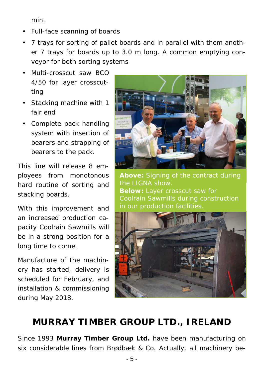*min.*

- Full-face scanning of boards
- 7 trays for sorting of pallet boards and in parallel with them another 7 trays for boards up to 3.0 m long. A common emptying conveyor for both sorting systems
- Multi-crosscut saw *BCO 4/50* for layer crosscutting
- Stacking machine with 1 fair end
- Complete pack handling system with insertion of bearers and strapping of bearers to the pack.

This line will release 8 employees from monotonous hard routine of sorting and stacking boards.

With this improvement and an increased production capacity *Coolrain Sawmills* will be in a strong position for a long time to come.

Manufacture of the machinery has started, delivery is scheduled for February, and installation & commissioning during May 2018.



*Above: Signing of the contract during the LIGNA show. Below: Layer crosscut saw for in our production facilities.*



### *MURRAY TIMBER GROUP LTD., IRELAND*

Since 1993 *Murray Timber Group Ltd.* have been manufacturing on six considerable lines from Brødbæk & Co. Actually, all machinery be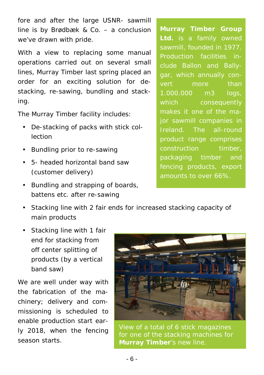fore and after the large USNR- sawmill line is by Brødbæk & Co. – a conclusion we've drawn with pride.

With a view to replacing some manual operations carried out on several small lines, *Murray Timber* last spring placed an order for an exciting solution for de stacking, re-sawing, bundling and stacking.

The *Murray Timber* facility includes:

- De-stacking of packs with stick collection
- Bundling prior to re-sawing
- 5- headed horizontal band saw (customer delivery)
- Bundling and strapping of boards, battens etc. after re-sawing

*Murray Timber Group Ltd.* is a family owned sawmill, founded in 1977. Production facilities include Ballon and Ballygar, which annually convert more than 1.000.000 m3 logs, which consequently makes it one of the major sawmill companies in Ireland. The all-round product range comprises construction timber. packaging timber and fencing products, export amounts to over 66%.

- Stacking line with 2 fair ends for increased stacking capacity of main products
- Stacking line with 1 fair end for stacking from off center splitting of products (by a vertical band saw)

We are well under way with the fabrication of the machinery; delivery and commissioning is scheduled to enable production start ear-



ly 2018, when the fencing View of a total of 6 stick magazines Iy 2018, when the fencing View of a total of 6 stick magazines<br>season starts. *Nurray Timber's new line for one of the stacking machines for*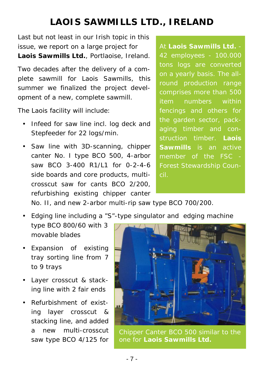#### *LAOIS SAWMILLS LTD., IRELAND*

Last but not least in our Irish topic in this issue, we report on a large project for *Laois Sawmills Ltd.*, Portlaoise, Ireland.

Two decades after the delivery of a complete sawmill for *Laois Sawmills,* this summer we finalized the project development of a new, complete sawmill.

The *Laois* facility will include:

- Infeed for saw line incl. log deck and *Stepfeeder* for 22 logs/min.
- Saw line with 3D-scanning, chipper canter No. I type BCO 500, 4-arbor saw BCO 3-400 R1/L1 for 0-2-4-6 side boards and core products, multi crosscut saw for cants BCO 2/200, refurbishing existing chipper canter

At *Laois Sawmills Ltd.* - 42 employees - 100.000 tons logs are converted on a yearly basis. The allround production range comprises more than 500 item numbers within fencings and others for aging timber and construction timber. *Laois Sawmills* is an active member of the FSC - Forest Stewardship Coun cil.

No. II, and new 2-arbor multi-rip saw type BCO 700/200.

- Edging line including a "S"-type singulator and edging machine type BCO 800/60 with 3 movable blades
- Expansion of existing tray sorting line from 7 to 9 trays
- Layer crosscut & stacking line with 2 fair ends
- Refurbishment of existing layer crosscut & stacking line, and added a new multi-crosscut saw type BCO 4/125 for



*Chipper Canter BCO 500 similar to the one for Laois Sawmills Ltd.*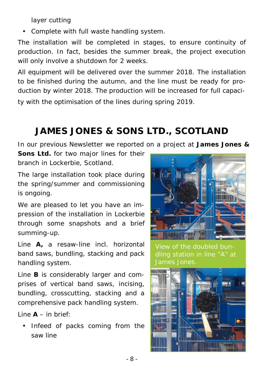layer cutting

Complete with full waste handling system.

The installation will be completed in stages, to ensure continuity of production. In fact, besides the summer break, the project execution will only involve a shutdown for 2 weeks.

All equipment will be delivered over the summer 2018. The installation to be finished during the autumn, and the line must be ready for pro duction by winter 2018. The production will be increased for full capacity with the optimisation of the lines during spring 2019.

## *JAMES JONES & SONS LTD., SCOTLAND*

In our previous Newsletter we reported on a project at *James Jones &*

*Sons Ltd.* for two major lines for their branch in Lockerbie, Scotland.

The large installation took place during the spring/summer and commissioning is ongoing.

We are pleased to let you have an impression of the installation in Lockerbie through some snapshots and a brief summing-up.

Line **A,** a resaw-line incl. horizontal band saws, bundling, stacking and pack handling system.

Line **B** is considerably larger and comprises of vertical band saws, incising, bundling, crosscutting, stacking and a comprehensive pack handling system.

 $\text{Line A} = \text{in } \text{hri } \text{ef}$ 

 Infeed of packs coming from the saw line

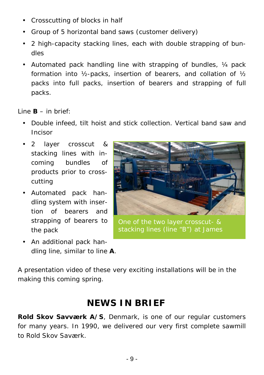- Crosscutting of blocks in half
- Group of 5 horizontal band saws (customer delivery)
- 2 high-capacity stacking lines, each with double strapping of bundles
- Automated pack handling line with strapping of bundles,  $\frac{1}{4}$  pack formation into ½-packs, insertion of bearers, and collation of ½ packs into full packs, insertion of bearers and strapping of full packs.

 $Line B - in brief:$ 

- Double infeed, tilt hoist and stick collection. Vertical band saw and Incisor
- 2 layer crosscut & stacking lines with incoming bundles of products prior to crosscutting
- Automated pack handling system with insertion of bearers and strapping of bearers to the pack
- An additional pack handling line, similar to line **A**.



*One of the two layer crosscut- & stacking lines (line "B") at James*

A presentation video of these very exciting installations will be in the making this coming spring.

#### *NEWS IN BRIEF*

*Rold Skov Savværk A/S*, Denmark, is one of our regular customers for many years. In 1990, we delivered our very first complete sawmill to *Rold Skov Saværk*.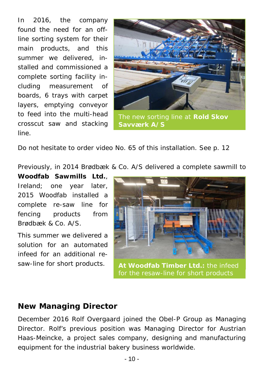In 2016, the company found the need for an offline sorting system for their main products, and this summer we delivered, installed and commissioned a complete sorting facility including measurement of boards, 6 trays with carpet layers, emptying conveyor to feed into the multi-head crosscut saw and stacking line.



*Savværk A/S*

Do not hesitate to order video No. 65 of this installation. See p. 12

Previously, in 2014 Brødbæk & Co. A/S delivered a complete sawmill to

*Woodfab Sawmills Ltd.*, Ireland; one year later, 2015 *Woodfab* installed a complete re-saw line for fencing products from Brødbæk & Co. A/S.

This summer we delivered a solution for an automated infeed for an additional resaw-line for short products.



*At Woodfab Timber Ltd.: the infeed for the resaw-line for short products*

#### *New Managing Director*

December 2016 Rolf Overgaard joined the Obel-P Group as Managing Director. Rolf's previous position was Managing Director for Austrian *Haas-Meincke*, a project sales company, designing and manufacturing equipment for the industrial bakery business worldwide.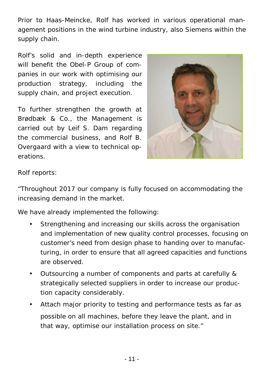Prior to *Haas-Meincke*, Rolf has worked in various operational management positions in the wind turbine industry, also *Siemens* within the supply chain.

Rolf's solid and in-depth experience will benefit the Obel-P Group of companies in our work with optimising our production strategy, including the supply chain, and project execution.

To further strengthen the growth at Brødbæk & Co., the Management is carried out by Leif S. Dam regarding the commercial business, and Rolf B. Overgaard with a view to technical operations.



Rolf reports:

"Throughout 2017 our company is fully focused on accommodating the increasing demand in the market.

We have already implemented the following:

- Strengthening and increasing our skills across the organisation and implementation of new quality control processes, focusing on customer's need from design phase to handing over to manufacturing, in order to ensure that all agreed capacities and functions are observed.
- Outsourcing a number of components and parts at carefully & strategically selected suppliers in order to increase our production capacity considerably.
- Attach major priority to testing and performance tests as far as possible on all machines, before they leave the plant, and in that way, optimise our installation process on site."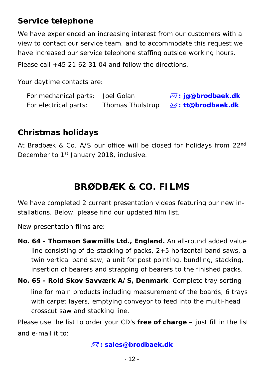#### *Service telephone*

We have experienced an increasing interest from our customers with a view to contact our service team, and to accommodate this request we have increased our service telephone staffing outside working hours. Please call  $+45$  21.62.31.04 and follow the directions.

Your daytime contacts are:

| For mechanical parts: Joel Golan |                  | $\boxtimes$ : jg@brodbaek.dk |
|----------------------------------|------------------|------------------------------|
| For electrical parts:            | Thomas Thulstrup | ⊠: tt@brodbaek.dk            |

#### *Christmas holidays*

At Brødbæk & Co. A/S our office will be closed for holidays from 22<sup>nd</sup> December to 1<sup>st</sup> January 2018, inclusive.

#### *BRØDBÆK & CO. FILMS*

We have completed 2 current presentation videos featuring our new installations. Below, please find our updated film list.

New presentation films are:

- **No. 64 -** *Thomson Sawmills Ltd.,* **England.** An all-round added value line consisting of de-stacking of packs, 2+5 horizontal band saws, a twin vertical band saw, a unit for post pointing, bundling, stacking, insertion of bearers and strapping of bearers to the finished packs.
- **No. 65 -** *Rold Skov Savværk A/S, Denmark*. Complete tray sorting line for main products including measurement of the boards, 6 trays with carpet layers, emptying conveyor to feed into the multi-head crosscut saw and stacking line.

Please use the list to order your CD's **free of charge** – just fill in the list and e-mail it to:

*: sales@brodbaek.dk*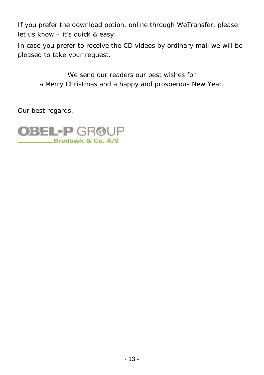If you prefer the download option, online through *WeTransfer*, please let us know – it's quick & easy.

In case you prefer to receive the CD videos by ordinary mail we will be pleased to take your request.

*We send our readers our best wishes for a Merry Christmas and a happy and prosperous New Year.*

Our best regards,

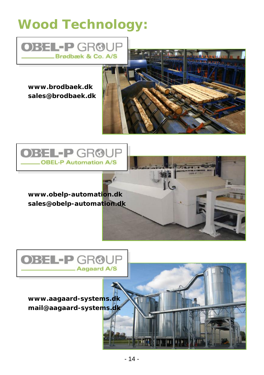# *Wood Technology:*



*www.brodbaek.dk sales@brodbaek.dk*





*www.obelp-automation.dk sales@obelp-automation.dk*





*www.aagaard-systems.dk mail@aagaard-systems.dk*